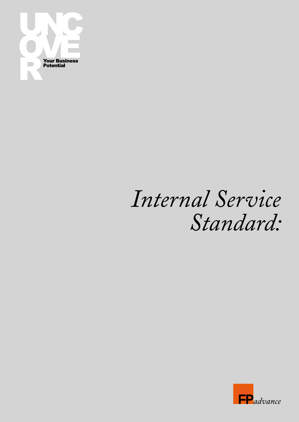

## *Internal Service Standard:*